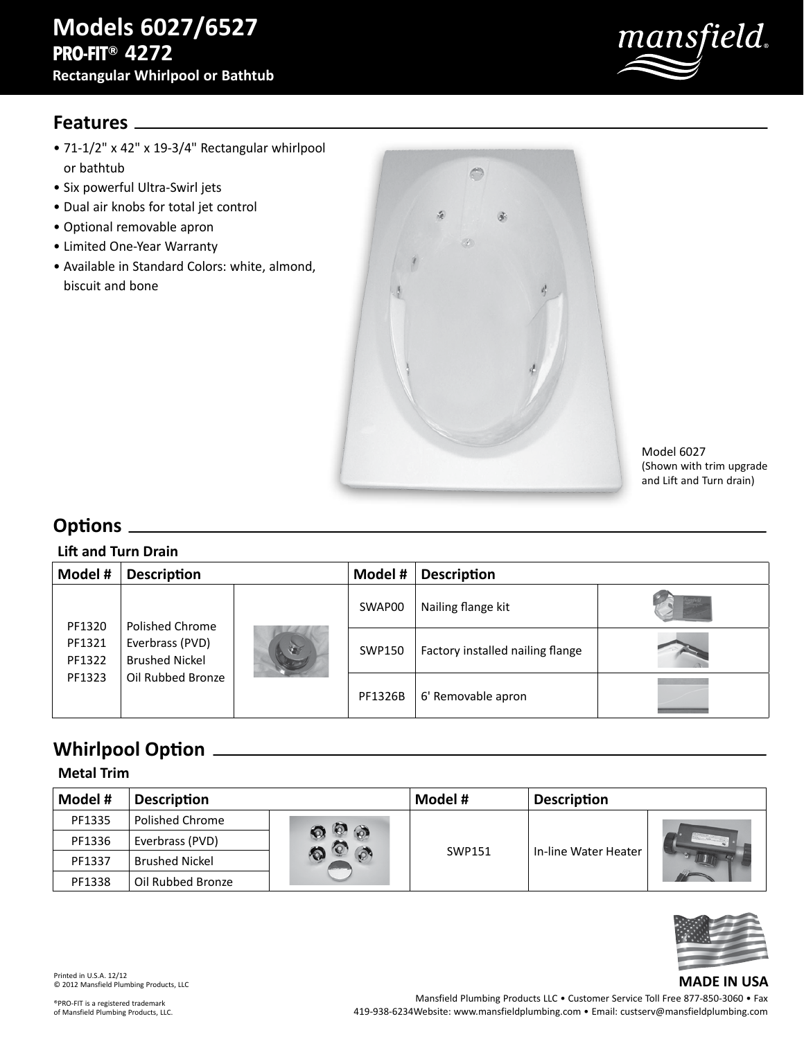

### **Features**

- 71-1/2" x 42" x 19-3/4" Rectangular whirlpool or bathtub
- Six powerful Ultra-Swirl jets
- Dual air knobs for total jet control
- Optional removable apron
- Limited One-Year Warranty
- Available in Standard Colors: white, almond, biscuit and bone



Model 6027 (Shown with trim upgrade and Lift and Turn drain)

# **Options**

#### **Lift and Turn Drain**

| Model #                    | <b>Description</b>                                               |  | Model #       | <b>Description</b>               |  |  |
|----------------------------|------------------------------------------------------------------|--|---------------|----------------------------------|--|--|
|                            | Polished Chrome<br>Everbrass (PVD)<br>1<br><b>Brushed Nickel</b> |  | SWAP00        | Nailing flange kit               |  |  |
| PF1320<br>PF1321<br>PF1322 |                                                                  |  | <b>SWP150</b> | Factory installed nailing flange |  |  |
| PF1323                     | Oil Rubbed Bronze                                                |  | PF1326B       | 6' Removable apron               |  |  |

# **Whirlpool Option**

### **Metal Trim**

| Model # | <b>Description</b>     |         | Model # | <b>Description</b>   |  |
|---------|------------------------|---------|---------|----------------------|--|
| PF1335  | <b>Polished Chrome</b> |         |         |                      |  |
| PF1336  | Everbrass (PVD)        | $\circ$ |         |                      |  |
| PF1337  | <b>Brushed Nickel</b>  |         | SWP151  | In-line Water Heater |  |
| PF1338  | Oil Rubbed Bronze      |         |         |                      |  |



**MADE IN USA**

Printed in U.S.A. 12/12 © 2012 Mansfield Plumbing Products, LLC